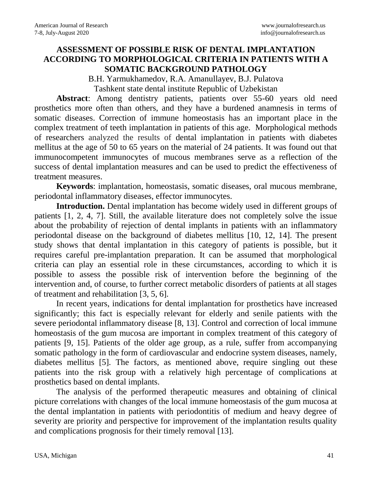## **ASSESSMENT OF POSSIBLE RISK OF DENTAL IMPLANTATION ACCORDING TO MORPHOLOGICAL CRITERIA IN PATIENTS WITH A SOMATIC BACKGROUND PATHOLOGY**

B.H. Yarmukhamedov, R.A. Amanullayev, B.J. Pulatova Tashkent state dental institute Republic of Uzbekistan

**Abstract**: Among dentistry patients, patients over 55-60 years old need prosthetics more often than others, and they have a burdened anamnesis in terms of somatic diseases. Correction of immune homeostasis has an important place in the complex treatment of teeth implantation in patients of this age. Morphological methods of researchers analyzed the results of dental implantation in patients with diabetes mellitus at the age of 50 to 65 years on the material of 24 patients. It was found out that immunocompetent immunocytes of mucous membranes serve as a reflection of the success of dental implantation measures and can be used to predict the effectiveness of treatment measures.

**Keywords**: implantation, homeostasis, somatic diseases, oral mucous membrane, periodontal inflammatory diseases, effector immunocytes.

**Introduction.** Dental implantation has become widely used in different groups of patients [1, 2, 4, 7]. Still, the available literature does not completely solve the issue about the probability of rejection of dental implants in patients with an inflammatory periodontal disease on the background of diabetes mellitus [10, 12, 14]. The present study shows that dental implantation in this category of patients is possible, but it requires careful pre-implantation preparation. It can be assumed that morphological criteria can play an essential role in these circumstances, according to which it is possible to assess the possible risk of intervention before the beginning of the intervention and, of course, to further correct metabolic disorders of patients at all stages of treatment and rehabilitation [3, 5, 6].

In recent years, indications for dental implantation for prosthetics have increased significantly; this fact is especially relevant for elderly and senile patients with the severe periodontal inflammatory disease [8, 13]. Control and correction of local immune homeostasis of the gum mucosa are important in complex treatment of this category of patients [9, 15]. Patients of the older age group, as a rule, suffer from accompanying somatic pathology in the form of cardiovascular and endocrine system diseases, namely, diabetes mellitus [5]. The factors, as mentioned above, require singling out these patients into the risk group with a relatively high percentage of complications at prosthetics based on dental implants.

The analysis of the performed therapeutic measures and obtaining of clinical picture correlations with changes of the local immune homeostasis of the gum mucosa at the dental implantation in patients with periodontitis of medium and heavy degree of severity are priority and perspective for improvement of the implantation results quality and complications prognosis for their timely removal [13].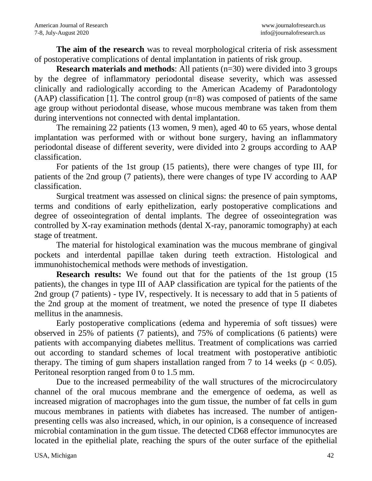**The aim of the research** was to reveal morphological criteria of risk assessment of postoperative complications of dental implantation in patients of risk group.

**Research materials and methods:** All patients (n=30) were divided into 3 groups by the degree of inflammatory periodontal disease severity, which was assessed clinically and radiologically according to the American Academy of Paradontology  $(AAP)$  classification [1]. The control group  $(n=8)$  was composed of patients of the same age group without periodontal disease, whose mucous membrane was taken from them during interventions not connected with dental implantation.

The remaining 22 patients (13 women, 9 men), aged 40 to 65 years, whose dental implantation was performed with or without bone surgery, having an inflammatory periodontal disease of different severity, were divided into 2 groups according to AAP classification.

For patients of the 1st group (15 patients), there were changes of type III, for patients of the 2nd group (7 patients), there were changes of type IV according to AAP classification.

Surgical treatment was assessed on clinical signs: the presence of pain symptoms, terms and conditions of early epithelization, early postoperative complications and degree of osseointegration of dental implants. The degree of osseointegration was controlled by X-ray examination methods (dental X-ray, panoramic tomography) at each stage of treatment.

The material for histological examination was the mucous membrane of gingival pockets and interdental papillae taken during teeth extraction. Histological and immunohistochemical methods were methods of investigation.

**Research results:** We found out that for the patients of the 1st group (15) patients), the changes in type III of AAP classification are typical for the patients of the 2nd group (7 patients) - type IV, respectively. It is necessary to add that in 5 patients of the 2nd group at the moment of treatment, we noted the presence of type II diabetes mellitus in the anamnesis.

Early postoperative complications (edema and hyperemia of soft tissues) were observed in 25% of patients (7 patients), and 75% of complications (6 patients) were patients with accompanying diabetes mellitus. Treatment of complications was carried out according to standard schemes of local treatment with postoperative antibiotic therapy. The timing of gum shapers installation ranged from 7 to 14 weeks ( $p < 0.05$ ). Peritoneal resorption ranged from 0 to 1.5 mm.

Due to the increased permeability of the wall structures of the microcirculatory channel of the oral mucous membrane and the emergence of oedema, as well as increased migration of macrophages into the gum tissue, the number of fat cells in gum mucous membranes in patients with diabetes has increased. The number of antigenpresenting cells was also increased, which, in our opinion, is a consequence of increased microbial contamination in the gum tissue. The detected CD68 effector immunocytes are located in the epithelial plate, reaching the spurs of the outer surface of the epithelial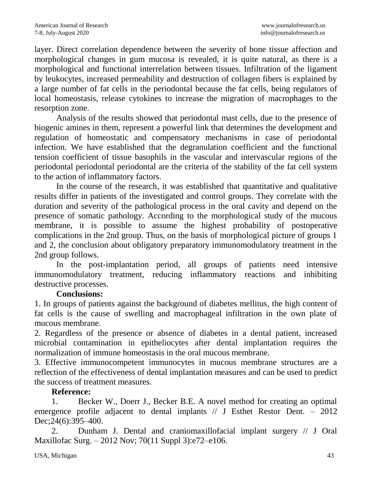layer. Direct correlation dependence between the severity of bone tissue affection and morphological changes in gum mucosa is revealed, it is quite natural, as there is a morphological and functional interrelation between tissues. Infiltration of the ligament by leukocytes, increased permeability and destruction of collagen fibers is explained by a large number of fat cells in the periodontal because the fat cells, being regulators of local homeostasis, release cytokines to increase the migration of macrophages to the resorption zone.

Analysis of the results showed that periodontal mast cells, due to the presence of biogenic amines in them, represent a powerful link that determines the development and regulation of homeostatic and compensatory mechanisms in case of periodontal infection. We have established that the degranulation coefficient and the functional tension coefficient of tissue basophils in the vascular and intervascular regions of the periodontal periodontal periodontal are the criteria of the stability of the fat cell system to the action of inflammatory factors.

In the course of the research, it was established that quantitative and qualitative results differ in patients of the investigated and control groups. They correlate with the duration and severity of the pathological process in the oral cavity and depend on the presence of somatic pathology. According to the morphological study of the mucous membrane, it is possible to assume the highest probability of postoperative complications in the 2nd group. Thus, on the basis of morphological picture of groups 1 and 2, the conclusion about obligatory preparatory immunomodulatory treatment in the 2nd group follows.

In the post-implantation period, all groups of patients need intensive immunomodulatory treatment, reducing inflammatory reactions and inhibiting destructive processes.

## **Conclusions:**

1. In groups of patients against the background of diabetes mellitus, the high content of fat cells is the cause of swelling and macrophageal infiltration in the own plate of mucous membrane.

2. Regardless of the presence or absence of diabetes in a dental patient, increased microbial contamination in epitheliocytes after dental implantation requires the normalization of immune homeostasis in the oral mucous membrane.

3. Effective immunocompetent immunocytes in mucous membrane structures are a reflection of the effectiveness of dental implantation measures and can be used to predict the success of treatment measures.

## **Reference:**

1. Becker W., Doerr J., Becker B.E. A novel method for creating an optimal emergence profile adjacent to dental implants // J Esthet Restor Dent. – 2012 Dec; 24(6): 395-400.

2. Dunham J. Dental and craniomaxillofacial implant surgery // J Oral Maxillofac Surg. – 2012 Nov; 70(11 Suppl 3):e72–e106.